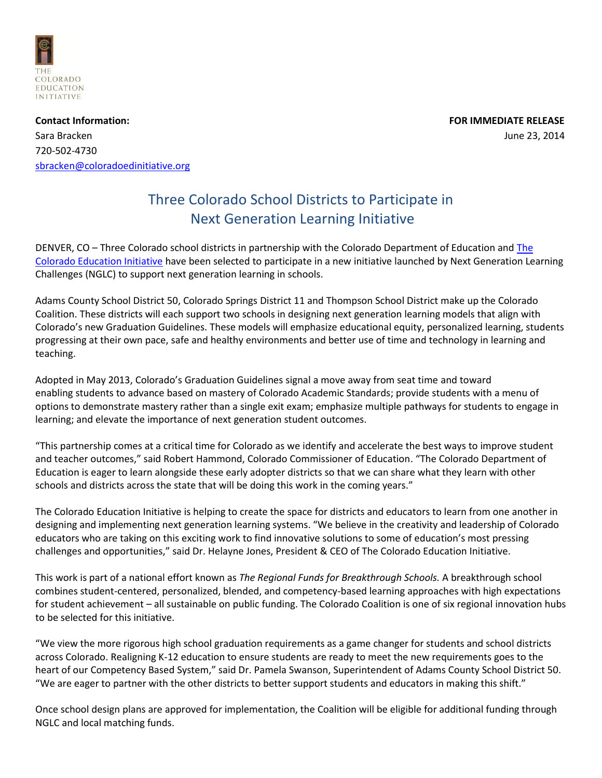

**Contact Information: FOR IMMEDIATE RELEASE** Sara Bracken June 23, 2014 720-502-4730 [sbracken@coloradoedinitiative.org](mailto:sbracken@coloradoedinitiative.org) 

## Three Colorado School Districts to Participate in Next Generation Learning Initiative

DENVER, CO – Three Colorado school districts in partnership with the Colorado Department of Education an[d The](http://www.coloradoedinitiative.org/)  [Colorado Education Initiative](http://www.coloradoedinitiative.org/) have been selected to participate in a new initiative launched by Next Generation Learning Challenges (NGLC) to support next generation learning in schools.

Adams County School District 50, Colorado Springs District 11 and Thompson School District make up the Colorado Coalition. These districts will each support two schools in designing next generation learning models that align with Colorado's new Graduation Guidelines. These models will emphasize educational equity, personalized learning, students progressing at their own pace, safe and healthy environments and better use of time and technology in learning and teaching.

Adopted in May 2013, Colorado's Graduation Guidelines signal a move away from seat time and toward enabling students to advance based on mastery of Colorado Academic Standards; provide students with a menu of options to demonstrate mastery rather than a single exit exam; emphasize multiple pathways for students to engage in learning; and elevate the importance of next generation student outcomes.

"This partnership comes at a critical time for Colorado as we identify and accelerate the best ways to improve student and teacher outcomes," said Robert Hammond, Colorado Commissioner of Education. "The Colorado Department of Education is eager to learn alongside these early adopter districts so that we can share what they learn with other schools and districts across the state that will be doing this work in the coming years."

The Colorado Education Initiative is helping to create the space for districts and educators to learn from one another in designing and implementing next generation learning systems. "We believe in the creativity and leadership of Colorado educators who are taking on this exciting work to find innovative solutions to some of education's most pressing challenges and opportunities," said Dr. Helayne Jones, President & CEO of The Colorado Education Initiative.

This work is part of a national effort known as *The Regional Funds for Breakthrough Schools.* A breakthrough school combines student-centered, personalized, blended, and competency-based learning approaches with high expectations for student achievement – all sustainable on public funding. The Colorado Coalition is one of six regional innovation hubs to be selected for this initiative.

"We view the more rigorous high school graduation requirements as a game changer for students and school districts across Colorado. Realigning K-12 education to ensure students are ready to meet the new requirements goes to the heart of our Competency Based System," said Dr. Pamela Swanson, Superintendent of Adams County School District 50. "We are eager to partner with the other districts to better support students and educators in making this shift."

Once school design plans are approved for implementation, the Coalition will be eligible for additional funding through NGLC and local matching funds.